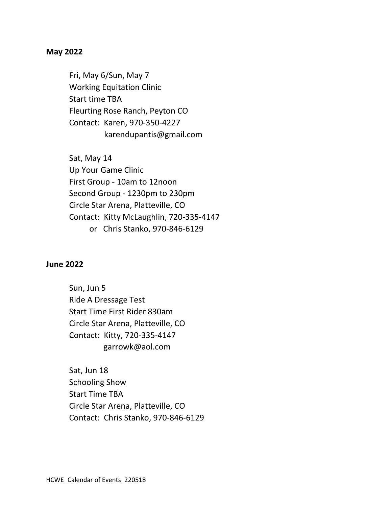### **May 2022**

Fri, May 6/Sun, May 7 Working Equitation Clinic Start time TBA Fleurting Rose Ranch, Peyton CO Contact: Karen, 970-350-4227 karendupantis@gmail.com

Sat, May 14 Up Your Game Clinic First Group - 10am to 12noon Second Group - 1230pm to 230pm Circle Star Arena, Platteville, CO Contact: Kitty McLaughlin, 720-335-4147 or Chris Stanko, 970-846-6129

#### **June 2022**

Sun, Jun 5 Ride A Dressage Test Start Time First Rider 830am Circle Star Arena, Platteville, CO Contact: Kitty, 720-335-4147 garrowk@aol.com

Sat, Jun 18 Schooling Show Start Time TBA Circle Star Arena, Platteville, CO Contact: Chris Stanko, 970-846-6129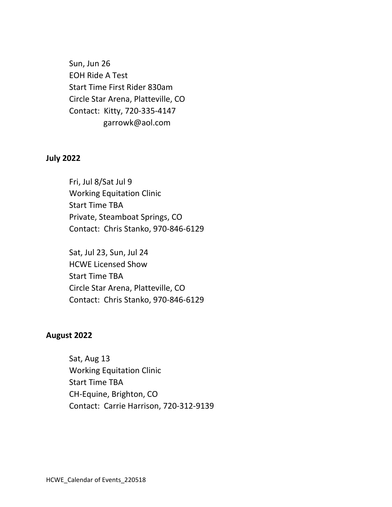Sun, Jun 26 EOH Ride A Test Start Time First Rider 830am Circle Star Arena, Platteville, CO Contact: Kitty, 720-335-4147 garrowk@aol.com

## **July 2022**

Fri, Jul 8/Sat Jul 9 Working Equitation Clinic Start Time TBA Private, Steamboat Springs, CO Contact: Chris Stanko, 970-846-6129

Sat, Jul 23, Sun, Jul 24 HCWE Licensed Show Start Time TBA Circle Star Arena, Platteville, CO Contact: Chris Stanko, 970-846-6129

# **August 2022**

Sat, Aug 13 Working Equitation Clinic Start Time TBA CH-Equine, Brighton, CO Contact: Carrie Harrison, 720-312-9139